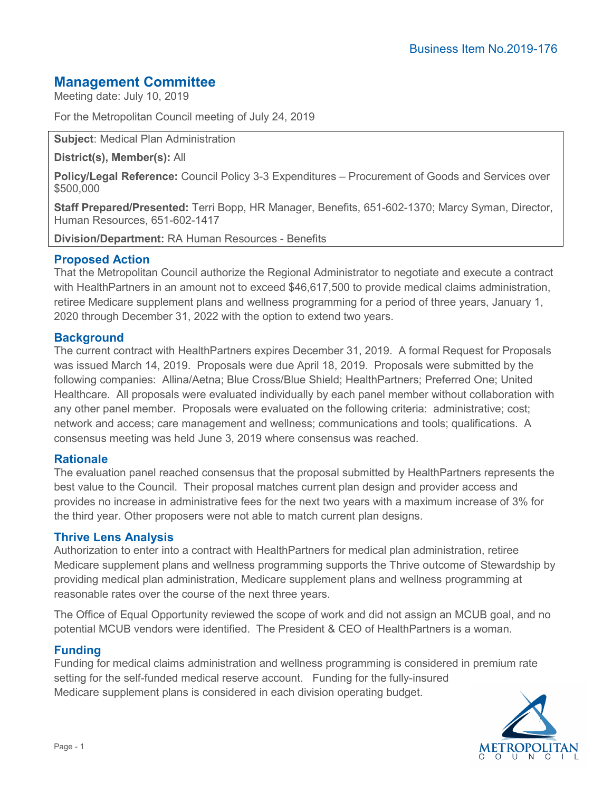# **Management Committee**

Meeting date: July 10, 2019

For the Metropolitan Council meeting of July 24, 2019

**Subject**: Medical Plan Administration

**District(s), Member(s):** All

**Policy/Legal Reference:** Council Policy 3-3 Expenditures – Procurement of Goods and Services over \$500,000

**Staff Prepared/Presented:** Terri Bopp, HR Manager, Benefits, 651-602-1370; Marcy Syman, Director, Human Resources, 651-602-1417

**Division/Department:** RA Human Resources - Benefits

## **Proposed Action**

That the Metropolitan Council authorize the Regional Administrator to negotiate and execute a contract with HealthPartners in an amount not to exceed \$46,617,500 to provide medical claims administration, retiree Medicare supplement plans and wellness programming for a period of three years, January 1, 2020 through December 31, 2022 with the option to extend two years.

## **Background**

The current contract with HealthPartners expires December 31, 2019. A formal Request for Proposals was issued March 14, 2019. Proposals were due April 18, 2019. Proposals were submitted by the following companies: Allina/Aetna; Blue Cross/Blue Shield; HealthPartners; Preferred One; United Healthcare. All proposals were evaluated individually by each panel member without collaboration with any other panel member. Proposals were evaluated on the following criteria: administrative; cost; network and access; care management and wellness; communications and tools; qualifications. A consensus meeting was held June 3, 2019 where consensus was reached.

### **Rationale**

The evaluation panel reached consensus that the proposal submitted by HealthPartners represents the best value to the Council. Their proposal matches current plan design and provider access and provides no increase in administrative fees for the next two years with a maximum increase of 3% for the third year. Other proposers were not able to match current plan designs.

### **Thrive Lens Analysis**

Authorization to enter into a contract with HealthPartners for medical plan administration, retiree Medicare supplement plans and wellness programming supports the Thrive outcome of Stewardship by providing medical plan administration, Medicare supplement plans and wellness programming at reasonable rates over the course of the next three years.

The Office of Equal Opportunity reviewed the scope of work and did not assign an MCUB goal, and no potential MCUB vendors were identified. The President & CEO of HealthPartners is a woman.

## **Funding**

Funding for medical claims administration and wellness programming is considered in premium rate setting for the self-funded medical reserve account. Funding for the fully-insured Medicare supplement plans is considered in each division operating budget.